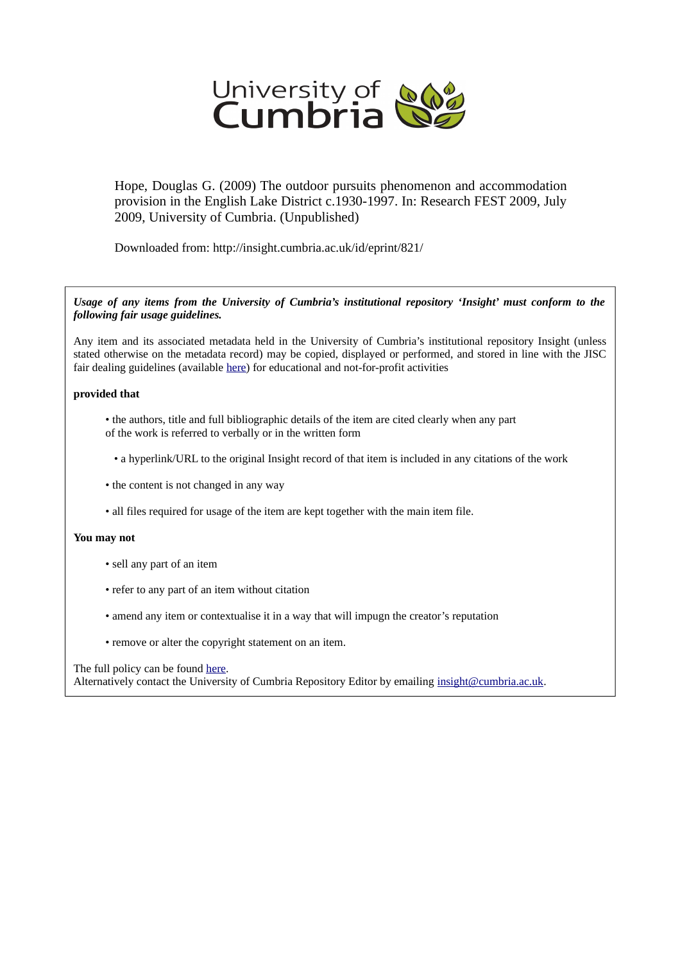

Hope, Douglas G. (2009) The outdoor pursuits phenomenon and accommodation provision in the English Lake District c.1930-1997. In: Research FEST 2009, July 2009, University of Cumbria. (Unpublished)

Downloaded from: http://insight.cumbria.ac.uk/id/eprint/821/

*Usage of any items from the University of Cumbria's institutional repository 'Insight' must conform to the following fair usage guidelines.*

Any item and its associated metadata held in the University of Cumbria's institutional repository Insight (unless stated otherwise on the metadata record) may be copied, displayed or performed, and stored in line with the JISC fair dealing guidelines (available [here\)](http://www.ukoln.ac.uk/services/elib/papers/pa/fair/) for educational and not-for-profit activities

## **provided that**

- the authors, title and full bibliographic details of the item are cited clearly when any part of the work is referred to verbally or in the written form
	- a hyperlink/URL to the original Insight record of that item is included in any citations of the work
- the content is not changed in any way
- all files required for usage of the item are kept together with the main item file.

## **You may not**

- sell any part of an item
- refer to any part of an item without citation
- amend any item or contextualise it in a way that will impugn the creator's reputation
- remove or alter the copyright statement on an item.

## The full policy can be found [here.](http://insight.cumbria.ac.uk/legal.html#section5)

Alternatively contact the University of Cumbria Repository Editor by emailing [insight@cumbria.ac.uk.](mailto:insight@cumbria.ac.uk)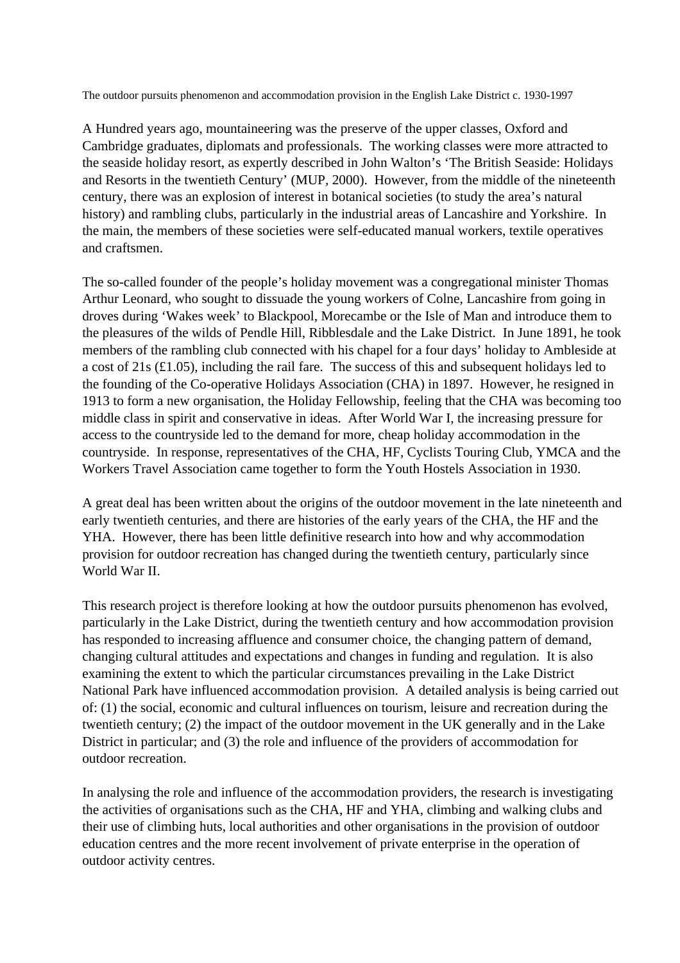The outdoor pursuits phenomenon and accommodation provision in the English Lake District c. 1930-1997

A Hundred years ago, mountaineering was the preserve of the upper classes, Oxford and Cambridge graduates, diplomats and professionals. The working classes were more attracted to the seaside holiday resort, as expertly described in John Walton's 'The British Seaside: Holidays and Resorts in the twentieth Century' (MUP, 2000). However, from the middle of the nineteenth century, there was an explosion of interest in botanical societies (to study the area's natural history) and rambling clubs, particularly in the industrial areas of Lancashire and Yorkshire. In the main, the members of these societies were self-educated manual workers, textile operatives and craftsmen.

The so-called founder of the people's holiday movement was a congregational minister Thomas Arthur Leonard, who sought to dissuade the young workers of Colne, Lancashire from going in droves during 'Wakes week' to Blackpool, Morecambe or the Isle of Man and introduce them to the pleasures of the wilds of Pendle Hill, Ribblesdale and the Lake District. In June 1891, he took members of the rambling club connected with his chapel for a four days' holiday to Ambleside at a cost of 21s (£1.05), including the rail fare. The success of this and subsequent holidays led to the founding of the Co-operative Holidays Association (CHA) in 1897. However, he resigned in 1913 to form a new organisation, the Holiday Fellowship, feeling that the CHA was becoming too middle class in spirit and conservative in ideas. After World War I, the increasing pressure for access to the countryside led to the demand for more, cheap holiday accommodation in the countryside. In response, representatives of the CHA, HF, Cyclists Touring Club, YMCA and the Workers Travel Association came together to form the Youth Hostels Association in 1930.

A great deal has been written about the origins of the outdoor movement in the late nineteenth and early twentieth centuries, and there are histories of the early years of the CHA, the HF and the YHA. However, there has been little definitive research into how and why accommodation provision for outdoor recreation has changed during the twentieth century, particularly since World War II.

This research project is therefore looking at how the outdoor pursuits phenomenon has evolved, particularly in the Lake District, during the twentieth century and how accommodation provision has responded to increasing affluence and consumer choice, the changing pattern of demand, changing cultural attitudes and expectations and changes in funding and regulation. It is also examining the extent to which the particular circumstances prevailing in the Lake District National Park have influenced accommodation provision. A detailed analysis is being carried out of: (1) the social, economic and cultural influences on tourism, leisure and recreation during the twentieth century; (2) the impact of the outdoor movement in the UK generally and in the Lake District in particular; and (3) the role and influence of the providers of accommodation for outdoor recreation.

In analysing the role and influence of the accommodation providers, the research is investigating the activities of organisations such as the CHA, HF and YHA, climbing and walking clubs and their use of climbing huts, local authorities and other organisations in the provision of outdoor education centres and the more recent involvement of private enterprise in the operation of outdoor activity centres.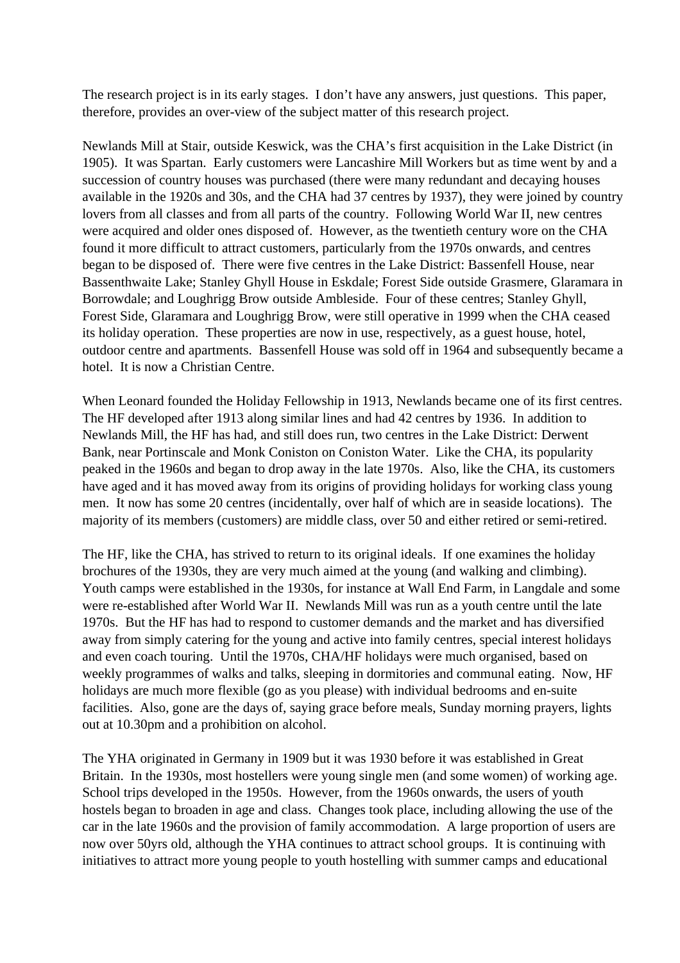The research project is in its early stages. I don't have any answers, just questions. This paper, therefore, provides an over-view of the subject matter of this research project.

Newlands Mill at Stair, outside Keswick, was the CHA's first acquisition in the Lake District (in 1905). It was Spartan. Early customers were Lancashire Mill Workers but as time went by and a succession of country houses was purchased (there were many redundant and decaying houses available in the 1920s and 30s, and the CHA had 37 centres by 1937), they were joined by country lovers from all classes and from all parts of the country. Following World War II, new centres were acquired and older ones disposed of. However, as the twentieth century wore on the CHA found it more difficult to attract customers, particularly from the 1970s onwards, and centres began to be disposed of. There were five centres in the Lake District: Bassenfell House, near Bassenthwaite Lake; Stanley Ghyll House in Eskdale; Forest Side outside Grasmere, Glaramara in Borrowdale; and Loughrigg Brow outside Ambleside. Four of these centres; Stanley Ghyll, Forest Side, Glaramara and Loughrigg Brow, were still operative in 1999 when the CHA ceased its holiday operation. These properties are now in use, respectively, as a guest house, hotel, outdoor centre and apartments. Bassenfell House was sold off in 1964 and subsequently became a hotel. It is now a Christian Centre.

When Leonard founded the Holiday Fellowship in 1913, Newlands became one of its first centres. The HF developed after 1913 along similar lines and had 42 centres by 1936. In addition to Newlands Mill, the HF has had, and still does run, two centres in the Lake District: Derwent Bank, near Portinscale and Monk Coniston on Coniston Water. Like the CHA, its popularity peaked in the 1960s and began to drop away in the late 1970s. Also, like the CHA, its customers have aged and it has moved away from its origins of providing holidays for working class young men. It now has some 20 centres (incidentally, over half of which are in seaside locations). The majority of its members (customers) are middle class, over 50 and either retired or semi-retired.

The HF, like the CHA, has strived to return to its original ideals. If one examines the holiday brochures of the 1930s, they are very much aimed at the young (and walking and climbing). Youth camps were established in the 1930s, for instance at Wall End Farm, in Langdale and some were re-established after World War II. Newlands Mill was run as a youth centre until the late 1970s. But the HF has had to respond to customer demands and the market and has diversified away from simply catering for the young and active into family centres, special interest holidays and even coach touring. Until the 1970s, CHA/HF holidays were much organised, based on weekly programmes of walks and talks, sleeping in dormitories and communal eating. Now, HF holidays are much more flexible (go as you please) with individual bedrooms and en-suite facilities. Also, gone are the days of, saying grace before meals, Sunday morning prayers, lights out at 10.30pm and a prohibition on alcohol.

The YHA originated in Germany in 1909 but it was 1930 before it was established in Great Britain. In the 1930s, most hostellers were young single men (and some women) of working age. School trips developed in the 1950s. However, from the 1960s onwards, the users of youth hostels began to broaden in age and class. Changes took place, including allowing the use of the car in the late 1960s and the provision of family accommodation. A large proportion of users are now over 50yrs old, although the YHA continues to attract school groups. It is continuing with initiatives to attract more young people to youth hostelling with summer camps and educational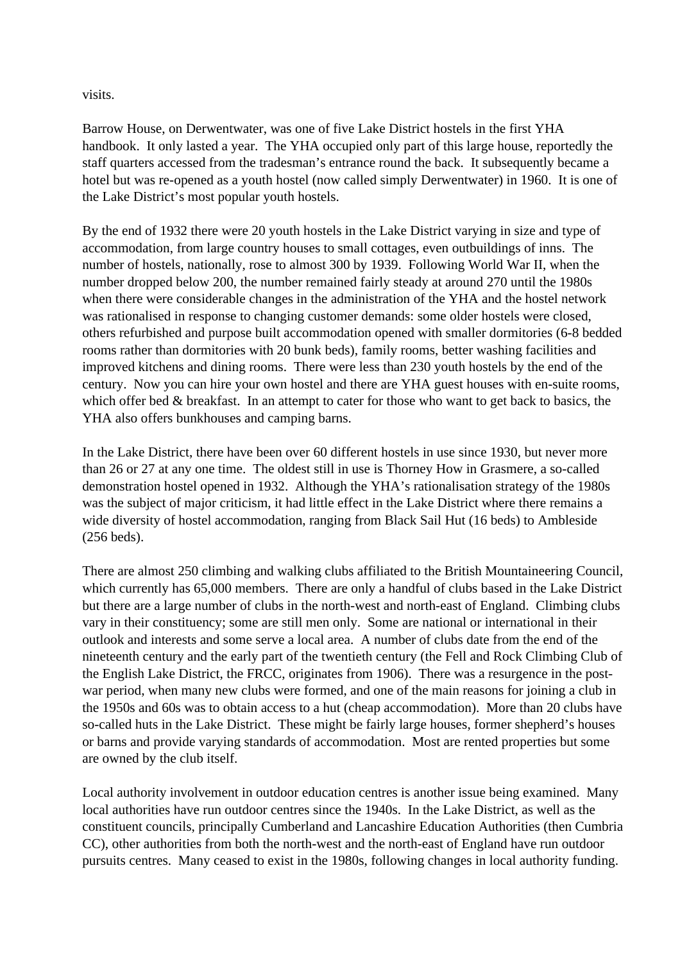visits.

Barrow House, on Derwentwater, was one of five Lake District hostels in the first YHA handbook. It only lasted a year. The YHA occupied only part of this large house, reportedly the staff quarters accessed from the tradesman's entrance round the back. It subsequently became a hotel but was re-opened as a youth hostel (now called simply Derwentwater) in 1960. It is one of the Lake District's most popular youth hostels.

By the end of 1932 there were 20 youth hostels in the Lake District varying in size and type of accommodation, from large country houses to small cottages, even outbuildings of inns. The number of hostels, nationally, rose to almost 300 by 1939. Following World War II, when the number dropped below 200, the number remained fairly steady at around 270 until the 1980s when there were considerable changes in the administration of the YHA and the hostel network was rationalised in response to changing customer demands: some older hostels were closed, others refurbished and purpose built accommodation opened with smaller dormitories (6-8 bedded rooms rather than dormitories with 20 bunk beds), family rooms, better washing facilities and improved kitchens and dining rooms. There were less than 230 youth hostels by the end of the century. Now you can hire your own hostel and there are YHA guest houses with en-suite rooms, which offer bed & breakfast. In an attempt to cater for those who want to get back to basics, the YHA also offers bunkhouses and camping barns.

In the Lake District, there have been over 60 different hostels in use since 1930, but never more than 26 or 27 at any one time. The oldest still in use is Thorney How in Grasmere, a so-called demonstration hostel opened in 1932. Although the YHA's rationalisation strategy of the 1980s was the subject of major criticism, it had little effect in the Lake District where there remains a wide diversity of hostel accommodation, ranging from Black Sail Hut (16 beds) to Ambleside (256 beds).

There are almost 250 climbing and walking clubs affiliated to the British Mountaineering Council, which currently has 65,000 members. There are only a handful of clubs based in the Lake District but there are a large number of clubs in the north-west and north-east of England. Climbing clubs vary in their constituency; some are still men only. Some are national or international in their outlook and interests and some serve a local area. A number of clubs date from the end of the nineteenth century and the early part of the twentieth century (the Fell and Rock Climbing Club of the English Lake District, the FRCC, originates from 1906). There was a resurgence in the postwar period, when many new clubs were formed, and one of the main reasons for joining a club in the 1950s and 60s was to obtain access to a hut (cheap accommodation). More than 20 clubs have so-called huts in the Lake District. These might be fairly large houses, former shepherd's houses or barns and provide varying standards of accommodation. Most are rented properties but some are owned by the club itself.

Local authority involvement in outdoor education centres is another issue being examined. Many local authorities have run outdoor centres since the 1940s. In the Lake District, as well as the constituent councils, principally Cumberland and Lancashire Education Authorities (then Cumbria CC), other authorities from both the north-west and the north-east of England have run outdoor pursuits centres. Many ceased to exist in the 1980s, following changes in local authority funding.